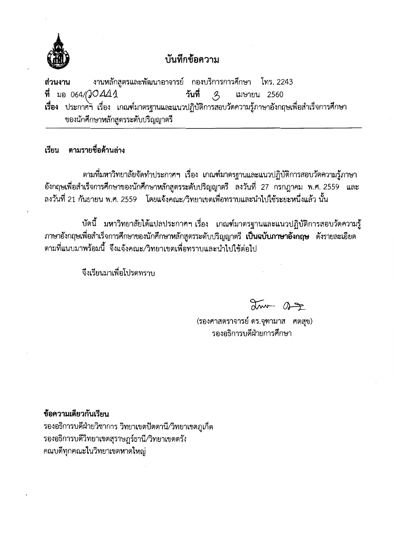

## บันทึกข้อความ

งานหลักสูตรและพัฒนาอาจารย์ กองบริการการศึกษา โทร. 2243 ส่วนงาน ที่ มอ 064/QOA41 วันที่  $\mathcal{Z}$ เมษายน 2560 เรื่อง ประกาศฯ เรื่อง เกณฑ์มาตรฐานและแนวปฏิบัติการสอบวัดความรู้ภาษาอังกฤษเพื่อสำเร็จการศึกษา ของนักศึกษาหลักสูตรระดับปริญญาตรี

## เรียน ตามรายชื่อด้านล่าง

้ตามที่มหาวิทยาลัยจัดทำประกาศฯ เรื่อง เกณฑ์มาตรฐานและแนวปฏิบัติการสอบวัดความรู้ภาษา ้อังกฤษเพื่อสำเร็จการศึกษาของนักศึกษาหลักสูตรระดับปริญญาตรี ลงวันที่ 27 กรกฎาคม พ.ศ. 2559 และ ิลงวันที่ 21 กันยายน พ.ศ. 2559 โดยแจ้งคณะ/วิทยาเขตเพื่อทราบและนำไปใช้ระยะหนึ่งแล้ว นั้น

ี บัดนี้ มหาวิทยาลัยได้แปลประกาศฯ เรื่อง เกณฑ์มาตรฐานและแนวปฏิบัติการสอบวัดความรู้ ภาษาอังกฤษเพื่อสำเร็จการศึกษาของนักศึกษาหลักสูตรระดับปริญญาตรี **เป็นฉบับภาษาอังกฤษ** ดังรายละเอียด ้ตามที่แนบมาพร้อมนี้ จึงแจ้งคณะ/วิทยาเขตเพื่อทราบและนำไปใช้ต่อไป

จึงเรียนมาเพื่อโปรดทราบ

 $200 - 07$ 

(รองศาสตราจารย์ ดร.จุฑามาส ศตสุข) รองอธิการบดีฝ่ายการศึกษา

## ข้อความเดียวกันเรียน

รองอธิการบดีฝ่ายวิชาการ วิทยาเขตปัตตานี/วิทยาเขตภูเก็ต รองอธิการบดีวิทยาเขตสุราษฎร์ธานี/วิทยาเขตตรัง คณบดีทุกคณะในวิทยาเขตหาดใหญ่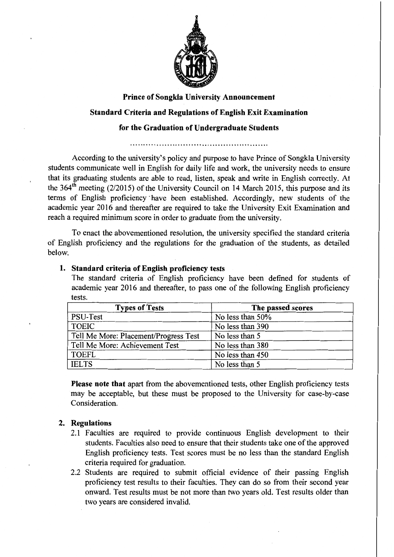

# **Prince of Songkla University Announcement Standard Criteria and Regulations of English Exit Examination for the Graduation of Undergraduate Students**

According to the university's policy and purpose to have Prince of Songkla University students communicate well in English for daily life and work, the university needs to ensure that its graduating students are able to read, listen, speak and write in English correctly. At the  $364<sup>th</sup>$  meeting (2/2015) of the University Council on 14 March 2015, this purpose and its terms of English proficiency ·have been established. Accordingly, new students of the academic year 2016 and thereafter are required to take the University Exit Examination and reach a required minimum score in order to graduate from the university.

To enact the abovementioned resolution, the university specified the standard criteria of English proficiency and the regulations for the graduation of the students, as detailed below.

### **1. Standard criteria of English proficiency tests**

The standard criteria of English proficiency have been defined for students of academic year 2016 and thereafter, to pass one of the following English proficiency tests.

| <b>Types of Tests</b>                 | The passed scores |  |
|---------------------------------------|-------------------|--|
| PSU-Test                              | No less than 50%  |  |
| <b>TOEIC</b>                          | No less than 390  |  |
| Tell Me More: Placement/Progress Test | No less than 5    |  |
| Tell Me More: Achievement Test        | No less than 380  |  |
| <b>TOEFL</b>                          | No less than 450  |  |
| <b>IELTS</b>                          | No less than 5    |  |

Please note that apart from the abovementioned tests, other English proficiency tests may be acceptable, but these must be proposed to the University for case-by-case Consideration.

### **2. Regulations**

- 2.1 Faculties are required to provide continuous English development to their students. Faculties also need to ensure that their students take one of the approved English proficiency tests. Test scores must be no less than the standard English criteria required for graduation.
- 2.2 Students are required to submit official evidence of their passing English proficiency test results to their faculties. They can do so from their second year onward. Test results must be not more than two years old. Test results older than two years are considered invalid.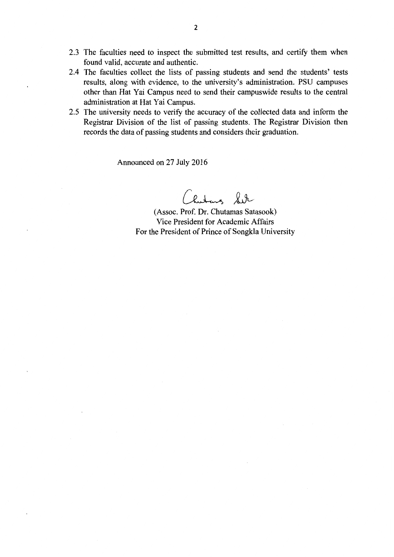- 2.3 The faculties need to inspect the submitted test results, and certify them when found valid, accurate and authentic.
- 2.4 The faculties collect the lists of passing students and send the students' tests results, along with evidence, to the university's administration. PSU campuses other than Hat Yai Campus need to send their campuswide results to the central administration at Hat Yai Campus.
- 2.5 The university needs to verify the accuracy of the collected data and inform the Registrar Division of the list of passing students. The Registrar Division then records the data of passing students and considers their graduation.

Announced on 27 July 2016

hutung Sit

(Assoc. Prof. Dr. Chutamas Satasook) Vice President for Academic Affairs For the President of Prince of Songkla University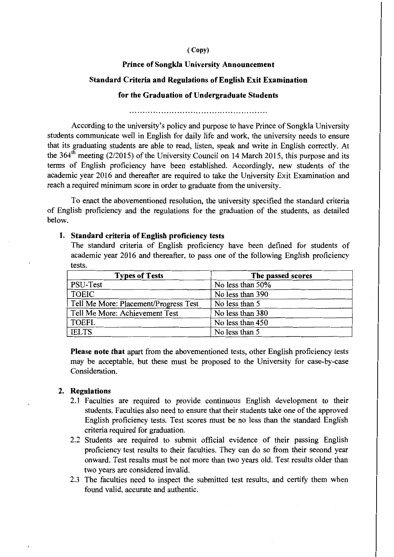#### ( Copy)

#### **Prince of Songkla University Announcement**

#### **Standard Criteria and Regulations of English Exit Examination**

#### **for the Graduation of Undergraduate Students**

According to the university's policy and purpose to have Prince of Songkla University students communicate well in English for daily life and work, the university needs to ensure that its graduating students are able to read, listen, speak and write in English correctly. At the  $364<sup>th</sup>$  meeting (2/2015) of the University Council on 14 March 2015, this purpose and its terms of English proficiency have been established. Accordingly, new students of the academic year 2016 and thereafter are required to take the University Exit Examination and reach a required minimum score in order to graduate from the university.

To enact the abovementioned resolution, the university specified the standard criteria of English proficiency and the regulations for the graduation of the students, as detailed below.

#### **1. Standard criteria of English proficiency tests**

The standard criteria of English proficiency have been defined for students of academic year 2016 and thereafter, to pass one of the following English proficiency tests.

| <b>Types of Tests</b>                 | The passed scores |  |
|---------------------------------------|-------------------|--|
| PSU-Test                              | No less than 50%  |  |
| <b>TOEIC</b>                          | No less than 390  |  |
| Tell Me More: Placement/Progress Test | No less than 5    |  |
| Tell Me More: Achievement Test        | No less than 380  |  |
| <b>TOEFL</b>                          | No less than 450  |  |
| <b>IELTS</b>                          | No less than 5    |  |

**Please note that** apart from the abovementioned tests, other English proficiency tests may be acceptable, but these must be proposed to the University for case-by-case Consideration.

#### **2. Regulations**

- 2.1 Faculties are required to provide continuous English development to their students. Faculties also need to ensure that their students take one of the approved English proficiency tests. Test scores must be no less than the standard English criteria required for graduation.
- 2.2 Students are required to submit official evidence of their passing English proficiency test results to their faculties. They can do so from their second year onward. Test results must be not more than two years old. Test results older than two years are considered invalid.
- 2.3 The faculties need to inspect the submitted test results, and certify them when found valid, accurate and authentic.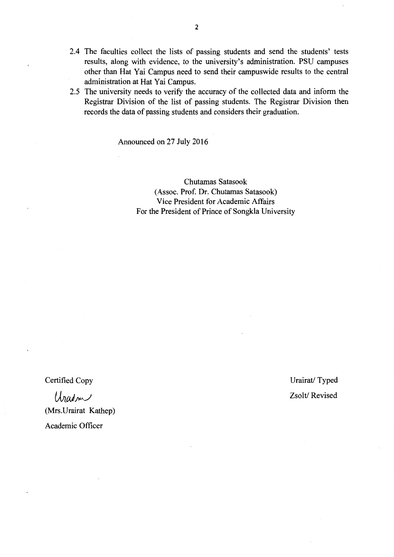- 2.4 The faculties collect the lists of passing students and send the students' tests results, along with evidence, to the university's administration. PSU campuses other than Hat Yai Campus need to send their campuswide results to the central administration at Hat Yai Campus.
- 2.5 The university needs to verify the accuracy of the collected data and inform the Registrar Division of the list of passing students. The Registrar Division then records the data of passing students and considers their graduation.

Announced on 27 July 2016

Chutamas Satasook (Assoc. Prof. Dr. Chutamas Satasook) Vice President for Academic Affairs For the President of Prince of Songkla University

Certified Copy

Uradon (Mrs.Urairat Kathep) Academic Officer

Urairat/ Typed Zsolt/ Revised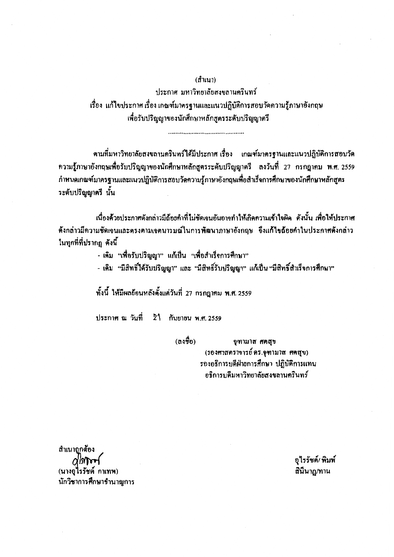(สำเนา)

ประกาศ มหาวิทยาลัยสงขลานครินทร์ ้เรื่อง แก้ไขประกาศเรื่องเกณฑ์มาตรฐานและแนวปฏิบัติการสอบวัดความรู้ภาษาอังกฤษ เพื่อรับปริญญาของนักศึกษาหลักสูตรระดับปริญญาตรี

ตามที่มหาวิทยาลัยสงขลานครินทร์ได้มีประกาศ เรื่อง เกณฑ์มาตรฐานและแนวปฏิบัติการสอบวัด ี ความรู้ภาษาอังกฤษเพื่อรับปริญญาของนักศึกษาหลักสูตรระดับปริญญาตรี ลงวันที่ 27 กรกฎาคม พ.ศ. 2559 กำหนคเกณฑ์มาตรฐานและแนวปฏิบัติการสอบวัคความรู้ภาษาอังกฤษเพื่อสำเร็จการศึกษาของนักศึกษาหลักสูตร ระดับปริญญาครี นั้น

เนื่องค้วยประกาศดังกล่าวมีถ้อยกำที่ไม่ชัดเจนอันอาจทำให้เกิดกวามเข้าใจผิด ดังนั้น เพื่อให้ประกาศ คังกล่าวมีความชัดเจนและตรงตามเจตนารมณ์ในการพัฒนาภาษาอังกฤษ จึงแก้ไขถ้อยคำในประกาศคังกล่าว ในทุกที่ที่ปรากฏ ดังนี้

- เคิม "เพื่อรับปริญญา" แก้เป็น "เพื่อสำเร็จการศึกษา"
- เคิม "มีสิทธิ์ได้รับปริญญา" และ "มีสิทธิ์รับปริญญา" แก้เป็น "มีสิทธิ์สำเร็จการศึกษา"

ทั้งนี้ ให้มีผลย้อนหลังตั้งแต่วันที่ 27 กรกฎากม พ.ศ. 2559

ประกาศ ณ วันที่ 21 กันยายน พ.ศ. 2559

(ลงชื้อ)

จุฑามาส ศคสุข (รองศาสตราจารย์ คร.จุฑามาส ศตสุข) รองอธิการบดีฝ่าขการศึกษา ปฏิบัติการแทน อธิการบดีมหาวิทยาลัยสงขลานครินทร์

สำเนาถูกต้อง  $\alpha$ lmot (นางอุไรรัชต์ กาเทพ) นักวิชาการศึกษาชำนาญการ

อุไรรัชต์/ พิมพ์ สินีนาฎ/ทาน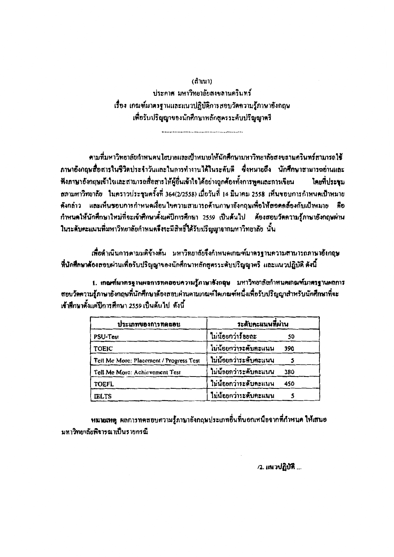(สำเนา) ประกาศ มหาวิทยาลัยสงขลานครินทร์ เรื่อง เกณฑ์มาครฐานและแนวปฏิบัติการสอบวัดความรู้ภาษาอังกฤษ เพื่อรับปริญญาของนักศึกษาหลักสูตรระดับปริญญาตรี

ตามที่มหาวิทยาลัยกำหนดนโยบายและเป้าหมายให้นักศึกษามหาวิทยาลัยสงขลานครินทร์สามารถใช้ ภาษาอังกฤษสื่อสารในชีวิตประจำวันและในการทำงานได้ในระดับดี ซึ่งหมายถึง นักศึกษาสามารถข่านและ ฟังภาษาอังกฤษเข้าใจและสามารถสื่อสารให้ผู้อื่นเข้าใจได้อย่างถูกค้องทั้งการพูดและการเขียน โดยที่ประชม สภามหาวิทยาลัย ในคราวประชุมครั้งที่ 364(2/2558) เมื่อวันที่ 14 มีนาคม 2558 เห็นขอบการกำหนดเป้าหมาย ดังกล่าว และเห็นชอบการกำหนดเงื่อนไขความสามารถด้านภาษาอังกฤษเพื่อให้สอดคล้องกับเป้าหมาย คือ กำหนดให้นักศึกษาใหม่ที่จะเข้าศึกษาตั้งแต่ปีการศึกษา 2559 เป็นต้นไป ต้องสอบวัตลวามรักาษาอังกฤษผ่าน ในระดับคะแนนที่มหาวิทยาลัยกำหนดจึงจะมีสิทธิ์ได้รับปริญญาจากมหาวิทยาลัย นั้น

เพื่อดำเนินการตามมติข้างต้น มหาวิทยาลัยจึงกำหนดเกณฑ์มาตรฐานความสามารถภาษาอังกฤษ ที่นักศึกษาด้องสอบผ่านเพื่อรับปริญญาของนักศึกษาหลักสูตรระดับปริญญาตรี และแนวปฏิบัติ ดังนี้

1. เกณฑ์มาตรฐานผลการทดสอบความรู้ภาษาอังกฤษ มหาวิทยาลัยกำหนดเกณฑ์มาตรฐานผลการ สอบวัดความรู้ภาษาอังกฤษที่นักศึกษาด้องสอบผ่านตามเกณฑ์ไดเกณฑ์หนึ่งเพื่อรับปริญญาสำหรับนักศึกษาที่จะ เข้าศึกษาตั้งแต่ปีการศึกษา 2559 เป็นต้นไป...ดังนี้

| ประเภทของการทดสอบ                       | <i>ร</i> ะดับคะแนนที่ผ่าน |     |
|-----------------------------------------|---------------------------|-----|
| PSU-Test                                | ไม่น้อยกว่าร้อยละ         | 50  |
| <b>TOEIC</b>                            | ไม่น้อยกว่าระดับคะแนน     | 390 |
| Tell Me More: Placement / Progress Test | ไม่น้อยกว่าระดับคะแนน     |     |
| Tell Me More: Achievement Test          | ไม่น้อยกว่าระดับคะแนน     | 380 |
| <b>TOEFL</b>                            | ใบน้อยกว่าระดับคะแนน      | 450 |
| <b>IELTS</b>                            | ไม่น้อยกว่าระดับคะแนน     |     |

หมายเหตุ ผลการทดสอบความรู้ภาษาอังกฤษประเภทอื่นที่นอกเหนือจากที่กำหนด ให้เสนอ มหาวิทยาลัยพิจารณาเป็นรายกรณี

/2. แนวปฏิบัติ ...